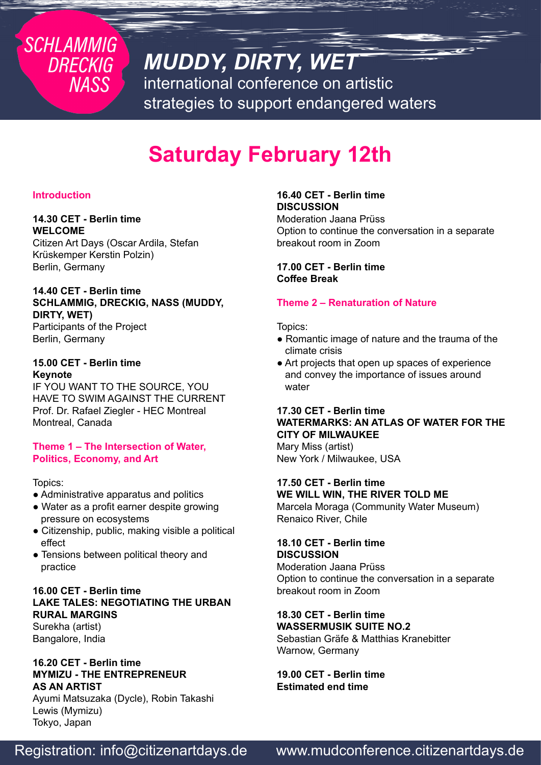## *MUDDY, DIRTY, WET*

international conference on artistic strategies to support endangered waters

## **Saturday February 12th**

## **Introduction**

**SCHLAMMIG** 

**DRECKIG** 

**NASS** 

#### **14.30 CET - Berlin time WELCOME**

Citizen Art Days (Oscar Ardila, Stefan Krüskemper Kerstin Polzin) Berlin, Germany

#### **14.40 CET - Berlin time SCHLAMMIG, DRECKIG, NASS (MUDDY, DIRTY, WET)**  Participants of the Project

Berlin, Germany

#### **15.00 CET - Berlin time Keynote**

IF YOU WANT TO THE SOURCE, YOU HAVE TO SWIM AGAINST THE CURRENT Prof. Dr. Rafael Ziegler - HEC Montreal Montreal, Canada

#### **Theme 1 – The Intersection of Water, Politics, Economy, and Art**

#### Topics:

- Administrative apparatus and politics
- Water as a profit earner despite growing pressure on ecosystems
- Citizenship, public, making visible a political effect
- Tensions between political theory and practice

### **16.00 CET - Berlin time LAKE TALES: NEGOTIATING THE URBAN RURAL MARGINS**

Surekha (artist) Bangalore, India

#### **16.20 CET - Berlin time MYMIZU - THE ENTREPRENEUR AS AN ARTIST**

Ayumi Matsuzaka (Dycle), Robin Takashi Lewis (Mymizu) Tokyo, Japan

## **16.40 CET - Berlin time DISCUSSION**

Moderation Jaana Prüss Option to continue the conversation in a separate breakout room in Zoom

**17.00 CET - Berlin time Coffee Break**

### **Theme 2 – Renaturation of Nature**

Topics:

- Romantic image of nature and the trauma of the climate crisis
- Art projects that open up spaces of experience and convey the importance of issues around water

### **17.30 CET - Berlin time WATERMARKS: AN ATLAS OF WATER FOR THE CITY OF MILWAUKEE**

Mary Miss (artist) New York / Milwaukee, USA

#### **17.50 CET - Berlin time WE WILL WIN, THE RIVER TOLD ME**

Marcela Moraga (Community Water Museum) Renaico River, Chile

#### **18.10 CET - Berlin time DISCUSSION**

Moderation Jaana Prüss Option to continue the conversation in a separate breakout room in Zoom

#### **18.30 CET - Berlin time WASSERMUSIK SUITE NO.2**

Sebastian Gräfe & Matthias Kranebitter Warnow, Germany

**19.00 CET - Berlin time Estimated end time**

## Registration: info@citizenartdays.de www.mudconference.citizenartdays.de